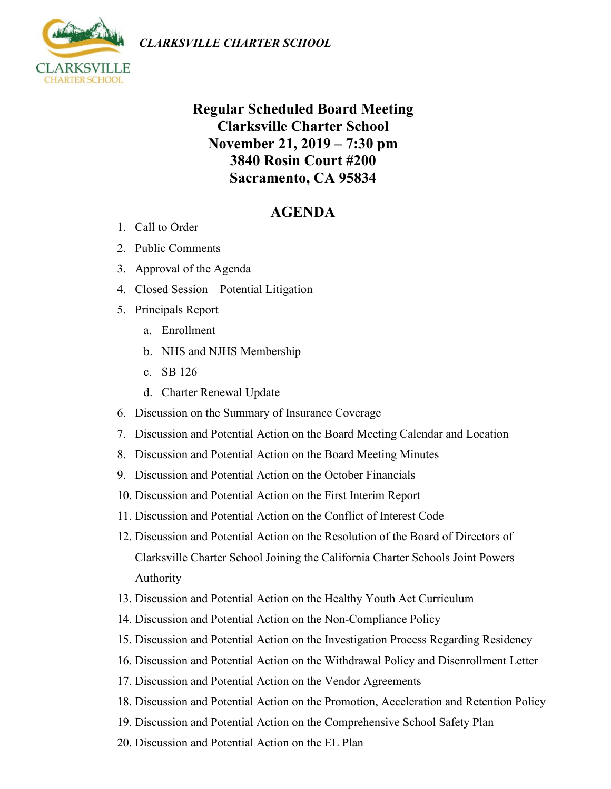



## **Regular Scheduled Board Meeting Clarksville Charter School November 21, 2019 – 7:30 pm 3840 Rosin Court #200 Sacramento, CA 95834**

## **AGENDA**

- 1. Call to Order
- 2. Public Comments
- 3. Approval of the Agenda
- 4. Closed Session Potential Litigation
- 5. Principals Report
	- a. Enrollment
	- b. NHS and NJHS Membership
	- c. SB 126
	- d. Charter Renewal Update
- 6. Discussion on the Summary of Insurance Coverage
- 7. Discussion and Potential Action on the Board Meeting Calendar and Location
- 8. Discussion and Potential Action on the Board Meeting Minutes
- 9. Discussion and Potential Action on the October Financials
- 10. Discussion and Potential Action on the First Interim Report
- 11. Discussion and Potential Action on the Conflict of Interest Code
- 12. Discussion and Potential Action on the Resolution of the Board of Directors of Clarksville Charter School Joining the California Charter Schools Joint Powers Authority
- 13. Discussion and Potential Action on the Healthy Youth Act Curriculum
- 14. Discussion and Potential Action on the Non-Compliance Policy
- 15. Discussion and Potential Action on the Investigation Process Regarding Residency
- 16. Discussion and Potential Action on the Withdrawal Policy and Disenrollment Letter
- 17. Discussion and Potential Action on the Vendor Agreements
- 18. Discussion and Potential Action on the Promotion, Acceleration and Retention Policy
- 19. Discussion and Potential Action on the Comprehensive School Safety Plan
- 20. Discussion and Potential Action on the EL Plan